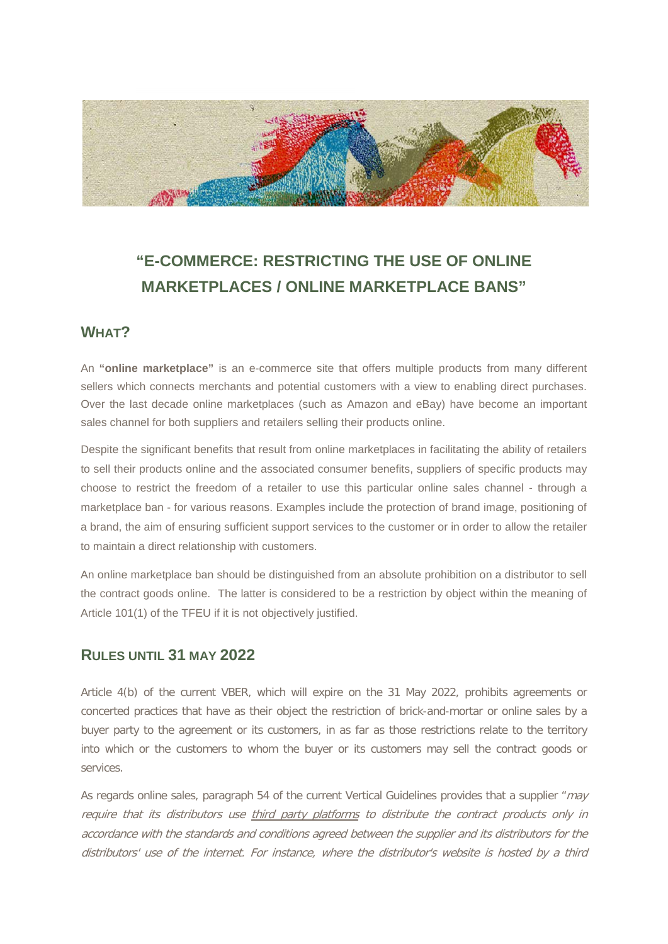

# **"E-COMMERCE: RESTRICTING THE USE OF ONLINE MARKETPLACES / ONLINE MARKETPLACE BANS"**

#### **WHAT?**

An **"online marketplace"** is an e-commerce site that offers multiple products from many different sellers which connects merchants and potential customers with a view to enabling direct purchases. Over the last decade online marketplaces (such as Amazon and eBay) have become an important sales channel for both suppliers and retailers selling their products online.

Despite the significant benefits that result from online marketplaces in facilitating the ability of retailers to sell their products online and the associated consumer benefits, suppliers of specific products may choose to restrict the freedom of a retailer to use this particular online sales channel - through a marketplace ban - for various reasons. Examples include the protection of brand image, positioning of a brand, the aim of ensuring sufficient support services to the customer or in order to allow the retailer to maintain a direct relationship with customers.

An online marketplace ban should be distinguished from an absolute prohibition on a distributor to sell the contract goods online. The latter is considered to be a restriction by object within the meaning of Article 101(1) of the TFEU if it is not objectively justified.

### **RULES UNTIL 31 MAY 2022**

Article 4(b) of the current VBER, which will expire on the 31 May 2022, prohibits agreements or concerted practices that have as their object the restriction of brick-and-mortar or online sales by a buyer party to the agreement or its customers, in as far as those restrictions relate to the territory into which or the customers to whom the buyer or its customers may sell the contract goods or services.

As regards online sales, paragraph 54 of the current Vertical Guidelines provides that a supplier "may require that its distributors use third party platforms to distribute the contract products only in accordance with the standards and conditions agreed between the supplier and its distributors for the distributors' use of the internet. For instance, where the distributor's website is hosted by a third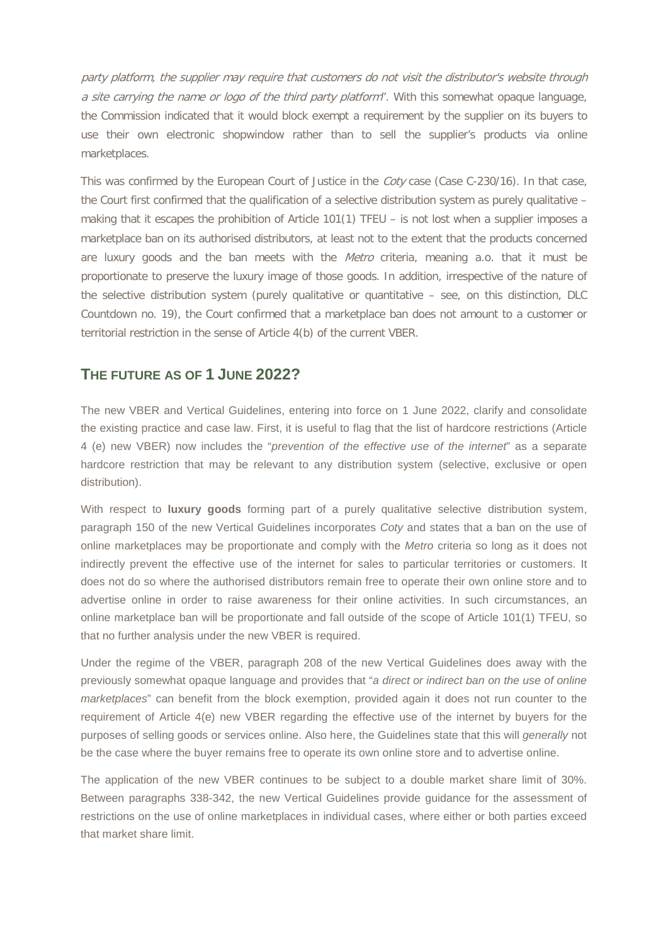party platform, the supplier may require that customers do not visit the distributor's website through a site carrying the name or logo of the third party platform". With this somewhat opaque language, the Commission indicated that it would block exempt a requirement by the supplier on its buyers to use their own electronic shopwindow rather than to sell the supplier's products via online marketplaces.

This was confirmed by the European Court of Justice in the *Coty* case (Case C-230/16). In that case, the Court first confirmed that the qualification of a selective distribution system as purely qualitative – making that it escapes the prohibition of Article 101(1) TFEU – is not lost when a supplier imposes a marketplace ban on its authorised distributors, at least not to the extent that the products concerned are luxury goods and the ban meets with the Metro criteria, meaning a.o. that it must be proportionate to preserve the luxury image of those goods. In addition, irrespective of the nature of the selective distribution system (purely qualitative or quantitative – see, on this distinction, DLC Countdown no. 19), the Court confirmed that a marketplace ban does not amount to a customer or territorial restriction in the sense of Article 4(b) of the current VBER.

#### **THE FUTURE AS OF 1 JUNE 2022?**

The new VBER and Vertical Guidelines, entering into force on 1 June 2022, clarify and consolidate the existing practice and case law. First, it is useful to flag that the list of hardcore restrictions (Article 4 (e) new VBER) now includes the "*prevention of the effective use of the internet*" as a separate hardcore restriction that may be relevant to any distribution system (selective, exclusive or open distribution).

With respect to **luxury goods** forming part of a purely qualitative selective distribution system, paragraph 150 of the new Vertical Guidelines incorporates *Coty* and states that a ban on the use of online marketplaces may be proportionate and comply with the *Metro* criteria so long as it does not indirectly prevent the effective use of the internet for sales to particular territories or customers. It does not do so where the authorised distributors remain free to operate their own online store and to advertise online in order to raise awareness for their online activities. In such circumstances, an online marketplace ban will be proportionate and fall outside of the scope of Article 101(1) TFEU, so that no further analysis under the new VBER is required.

Under the regime of the VBER, paragraph 208 of the new Vertical Guidelines does away with the previously somewhat opaque language and provides that "*a direct or indirect ban on the use of online marketplaces*" can benefit from the block exemption, provided again it does not run counter to the requirement of Article 4(e) new VBER regarding the effective use of the internet by buyers for the purposes of selling goods or services online. Also here, the Guidelines state that this will *generally* not be the case where the buyer remains free to operate its own online store and to advertise online.

The application of the new VBER continues to be subject to a double market share limit of 30%. Between paragraphs 338-342, the new Vertical Guidelines provide guidance for the assessment of restrictions on the use of online marketplaces in individual cases, where either or both parties exceed that market share limit.